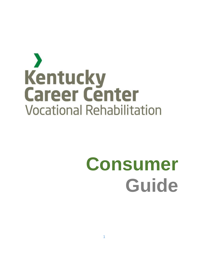## $\blacktriangleright$ Kentucky **Career Center Vocational Rehabilitation**

# **Consumer Guide**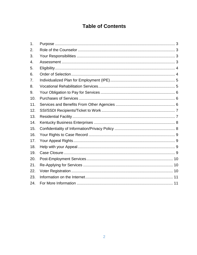## **Table of Contents**

| 1.  |  |
|-----|--|
| 2.  |  |
| 3.  |  |
| 4.  |  |
| 5.  |  |
| 6.  |  |
| 7.  |  |
| 8.  |  |
| 9.  |  |
| 10. |  |
| 11. |  |
| 12. |  |
| 13. |  |
| 14. |  |
| 15. |  |
| 16. |  |
| 17. |  |
| 18. |  |
| 19. |  |
| 20. |  |
| 21. |  |
| 22. |  |
| 23. |  |
| 24. |  |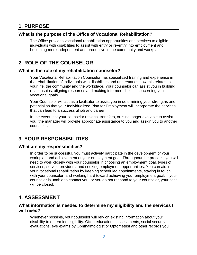### <span id="page-2-0"></span>**1. PURPOSE**

#### **What is the purpose of the Office of Vocational Rehabilitation?**

The Office provides vocational rehabilitation opportunities and services to eligible individuals with disabilities to assist with entry or re-entry into employment and becoming more independent and productive in the community and workplace.

## <span id="page-2-1"></span>**2. ROLE OF THE COUNSELOR**

#### **What is the role of my rehabilitation counselor?**

Your Vocational Rehabilitation Counselor has specialized training and experience in the rehabilitation of individuals with disabilities and understands how this relates to your life, the community and the workplace. Your counselor can assist you in building relationships, aligning resources and making informed choices concerning your vocational goals.

Your Counselor will act as a facilitator to assist you in determining your strengths and potential so that your Individualized Plan for Employment will incorporate the services that can lead to a successful job and career.

In the event that your counselor resigns, transfers, or is no longer available to assist you, the manager will provide appropriate assistance to you and assign you to another counselor.

## <span id="page-2-2"></span>**3. YOUR RESPONSIBILITIES**

#### **What are my responsibilities?**

In order to be successful, you must actively participate in the development of your work plan and achievement of your employment goal. Throughout the process, you will need to work closely with your counselor in choosing an employment goal, types of services, service providers, and seeking employment opportunities. You can aid in your vocational rehabilitation by keeping scheduled appointments, staying in touch with your counselor, and working hard toward achieving your employment goal. If your counselor is unable to contact you, or you do not respond to your counselor, your case will be closed.

## <span id="page-2-3"></span>**4. ASSESSMENT**

#### **What information is needed to determine my eligibility and the services I will need?**

Whenever possible, your counselor will rely on existing information about your disability to determine eligibility. Often educational assessments, social security evaluations, eye exams by Ophthalmologist or Optometrist and other records you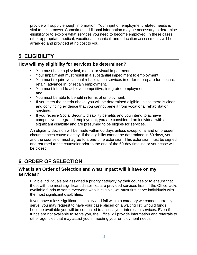provide will supply enough information. Your input on employment related needs is vital to this process. Sometimes additional information may be necessary to determine eligibility or to explore what services you need to become employed. In these cases, other appropriate medical, vocational, technical, and education assessments will be arranged and provided at no cost to you.

## <span id="page-3-0"></span>**5. ELIGIBILITY**

#### **How will my eligibility for services be determined?**

- You must have a physical, mental or visual impairment.
- Your impairment must result in a substantial impediment to employment.
- You must require vocational rehabilitation services in order to prepare for, secure, retain, advance in, or regain employment.
- You must intend to achieve competitive, integrated employment. and
- You must be able to benefit in terms of employment.
- If you meet the criteria above, you will be determined eligible unless there is clear and convincing evidence that you cannot benefit from vocational rehabilitation services.
- If you receive Social Security disability benefits and you intend to achieve competitive, integrated employment, you are considered an individual with a significant disability and are presumed to be eligible for services.

An eligibility decision will be made within 60 days unless exceptional and unforeseen circumstances cause a delay. If the eligibility cannot be determined in 60 days, you and the counselor must agree to a one-time extension. This extension must be signed and returned to the counselor prior to the end of the 60-day timeline or your case will be closed.

## <span id="page-3-1"></span>**6. ORDER OF SELECTION**

#### **What is an Order of Selection and what impact will it have on my services?**

Eligible individuals are assigned a priority category by their counselor to ensure that thosewith the most significant disabilities are provided services first. If the Office lacks available funds to serve everyone who is eligible, we must first serve individuals with the most significant disabilities.

If you have a less significant disability and fall within a category we cannot currently serve, you may request to have your case placed on a waiting list. Should funds become available you will be contacted to assess your interest in services. Even if funds are not available to serve you, the Office will provide information and referrals to other agencies that may assist you in meeting your employment needs.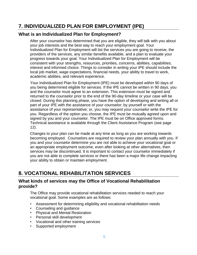## <span id="page-4-0"></span>**7. INDIVIDUALIZED PLAN FOR EMPLOYMENT (IPE)**

#### **What is an Individualized Plan for Employment?**

After your counselor has determined that you are eligible, they will talk with you about your job interests and the best way to reach your employment goal. Your Individualized Plan for Employment will list the services you are going to receive, the providers of the services, any similar benefits available, and a plan to evaluate your progress towards your goal. Your Individualized Plan for Employment will be consistent with your strengths, resources, priorities, concerns, abilities, capabilities, interest and informed choice. Things to consider in writing your IPE should include the local job market, wage expectations, financial needs, your ability to travel to work, academic abilities, and relevant experience.

Your Individualized Plan for Employment (IPE) must be developed within 90 days of you being determined eligible for services. If the IPE cannot be written in 90 days, you and the counselor must agree to an extension. This extension must be signed and returned to the counselor prior to the end of the 90-day timeline or your case will be closed. During this planning phase, you have the option of developing and writing all or part of your IPE with the assistance of your counselor; by yourself or with the assistance of your representative; or, you may request your counselor write the IPE for you. Regardless of the option you choose, the IPE must be mutually agreed upon and signed by you and your counselor. The IPE must be on Office approved forms. Technical assistance is available through the Client Assistance Program (see page 12).

Changes to your plan can be made at any time as long as you are working towards becoming employed. Counselors are required to review your plan annually with you. If you and your counselor determine you are not able to achieve your vocational goal or an appropriate employment outcome, even after looking at other alternatives, then services may be discontinued. It is important to contact your counselor immediately if you are not able to complete services or there has been a major life change impacting your ability to obtain or maintain employment.

## <span id="page-4-1"></span>**8. VOCATIONAL REHABILITATION SERVICES**

#### **What kinds of services may the Office of Vocational Rehabilitation provide?**

The Office may provide vocational rehabilitation services needed to reach your vocational goal. Some examples are as follows:

- Assessment for determining eligibility and vocational rehabilitation needs
- Counseling and guidance
- Physical and Mental Restoration
- Personal skill development
- Vocational and other training services
- Supported employment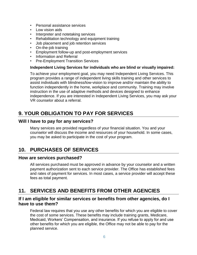- Personal assistance services
- Low vision aids
- Interpreter and notetaking services
- Rehabilitation technology and equipment training
- Job placement and job retention services
- On-the-job training
- Employment follow-up and post-employment services
- Information and Referral
- Pre-Employment Transition Services

#### **Independent Living Services for individuals who are blind or visually impaired:**

To achieve your employment goal, you may need Independent Living Services. This program provides a range of independent living skills training and other services to assist individuals with blindness/low-vision to improve and/or maintain the ability to function independently in the home, workplace and community. Training may involve instruction in the use of adaptive methods and devices designed to enhance independence. If you are interested in Independent Living Services, you may ask your VR counselor about a referral.

## <span id="page-5-0"></span>**9. YOUR OBLIGATION TO PAY FOR SERVICES**

#### **Will I have to pay for any services?**

Many services are provided regardless of your financial situation. You and your counselor will discuss the income and resources of your household. In some cases, you may be asked to participate in the cost of your program.

## <span id="page-5-1"></span>**10. PURCHASES OF SERVICES**

#### **How are services purchased?**

All services purchased must be approved in advance by your counselor and a written payment authorization sent to each service provider. The Office has established fees and rates of payment for services. In most cases, a service provider will accept these fees as total payment.

## <span id="page-5-2"></span>**11. SERVICES AND BENEFITS FROM OTHER AGENCIES**

#### **If I am eligible for similar services or benefits from other agencies, do I have to use them?**

Federal law requires that you use any other benefits for which you are eligible to cover the cost of some services. These benefits may include training grants, Medicare, Medicaid, Workers' Compensation, and insurance. If you refuse to apply for and use other benefits for which you are eligible, the Office may not be able to pay for the planned service.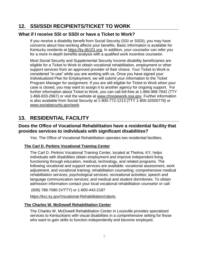## <span id="page-6-0"></span>**12. SSI/SSDI RECIPIENTS/TICKET TO WORK**

#### **What if I receive SSI or SSDI or have a Ticket to Work?**

If you receive a disability benefit from Social Security (SSI or SSDI), you may have concerns about how working affects your benefits. Basic information is available for Kentucky residents at [https://ky.db101.org.](https://ky.db101.org/) In addition, your counselor can refer you for a more in-depth benefits analysis with a qualified work incentive counselor.

Most Social Security and Supplemental Security Income disability beneficiaries are eligible for a Ticket to Work to obtain vocational rehabilitation, employment or other support services from an approved provider of their choice. Your Ticket to Work is considered "in-use" while you are working with us. Once you have signed your Individualized Plan for Employment, we will submit your information to the Ticket Program Manager for assignment. If you are still eligible for Ticket to Work when your case is closed, you may want to assign it to another agency for ongoing support. For further information about Ticket to Work, you can call toll-free at 1-866-968-7842 (TTY 1-866-833-2967) or visit the website at [www.choosework.ssa.gov.](http://www.choosework.ssa.gov/) Further information is also available from Social Security at 1-800-772-1213 (TTY 1-800-32500778) or [www.socialsecurity.gov/work.](http://www.socialsecurity.gov/work)

## <span id="page-6-1"></span>**13. RESIDENTIAL FACILITY**

#### **Does the Office of Vocational Rehabilitation have a residential facility that provides services to individuals with significant disabilities?**

Yes. The Office of Vocational Rehabilitation operates two residential facilities.

#### **The Carl D. Perkins Vocational Training Center**

The Carl D. Perkins Vocational Training Center, located at Thelma, KY, helps individuals with disabilities obtain employment and improve independent living functioning through education, medical, technology, and related programs. The following vocational and support services are available: vocational assessment, work adjustment, and vocational training; rehabilitation counseling; comprehensive medical rehabilitation services; psychological services; recreational activities; speech and language communication services; and medical and student dormitories. To obtain admission information contact your local vocational rehabilitation counselor or call:

(606) 788-7080 (V/TTY) or 1-800-443-2187

<https://kcc.ky.gov/Vocational-Rehabilitation/cdpvtc>

#### **The Charles W. McDowell Rehabilitation Center**

The Charles W. McDowell Rehabilitation Center in Louisville provides specialized services to Kentuckians with visual disabilities in a comprehensive setting for those who want to gain skills to function independently and become employed.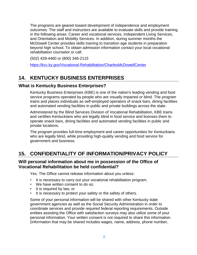The programs are geared toward development of independence and employment outcomes. The staff and instructors are available to evaluate skills and provide training in the following areas: Career and vocational services, Independent Living Services, and Orientation and Mobility Services. In addition, during summer months the McDowell Center provides skills training to transition age students in preparation beyond high school. To obtain admission information contact your local vocational rehabilitation counselor or call:

(502) 429-4460 or (800) 346-2115

<https://kcc.ky.gov/Vocational-Rehabilitation/CharlesMcDowellCenter>

## <span id="page-7-0"></span>**14. KENTUCKY BUSINESS ENTERPRISES**

#### **What is Kentucky Business Enterprises?**

Kentucky Business Enterprises (KBE) is one of the nation's leading vending and food service programs operated by people who are visually impaired or blind. The program trains and places individuals as self-employed operators of snack bars, dining facilities and automated vending facilities in public and private buildings across the state.

Administered by the Blind Services Division of Vocational Rehabilitation, KBE trains and certifies Kentuckians who are legally blind in food service and licenses them to operate snack bars, dining facilities and automated vending facilities in public and private locations.

The program provides full-time employment and career opportunities for Kentuckians who are legally blind, while providing high-quality vending and food service for government and business.

## <span id="page-7-1"></span>**15. CONFIDENTIALITY OF INFORMATION/PRIVACY POLICY**

#### **Will personal information about me in possession of the Office of Vocational Rehabilitation be held confidential?**

Yes. The Office cannot release information about you unless:

- It is necessary to carry out your vocational rehabilitation program.
- We have written consent to do so.
- It is required by law, or
- It is necessary to protect your safety or the safety of others.

Some of your personal information will be shared with other Kentucky state government agencies as well as the Social Security Administration in order to coordinate services and provide required federal reporting requirements. Outside entities assisting the Office with satisfaction surveys may also utilize some of your personal information. Your written consent is not required to share this information. (Information that may be shared includes wages, name, address, phone number,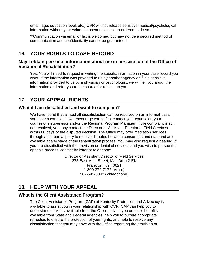email, age, education level, etc.) OVR will not release sensitive medical/psychological information without your written consent unless court ordered to do so.

\*\*Communication via email or fax is welcomed but may not be a secured method of communication and confidentiality cannot be guaranteed.

## <span id="page-8-0"></span>**16. YOUR RIGHTS TO CASE RECORD**

#### **May I obtain personal information about me in possession of the Office of Vocational Rehabilitation?**

Yes. You will need to request in writing the specific information in your case record you want. If the information was provided to us by another agency or if it is sensitive information provided to us by a physician or psychologist, we will tell you about the information and refer you to the source for release to you.

## <span id="page-8-1"></span>**17. YOUR APPEAL RIGHTS**

#### **What if I am dissatisfied and want to complain?**

We have found that almost all dissatisfaction can be resolved on an informal basis. If you have a complaint, we encourage you to first contact your counselor, your counselor's supervisor and/or the Regional Program Manager. If the complaint is still not resolved, you may contact the Director or Assistant Director of Field Services within 60 days of the disputed decision. The Office may offer mediation services through an impartial party to resolve disputes between consumers and staff and are available at any stage of the rehabilitation process. You may also request a hearing. If you are dissatisfied with the provision or denial of services and you wish to pursue the appeals process, contact by letter or telephone:

> Director or Assistant Director of Field Services 275 East Main Street, Mail Drop 2-EK Frankfort, KY 40621 1-800-372-7172 (Voice) 502-542-6042 (Videophone)

## <span id="page-8-2"></span>**18. HELP WITH YOUR APPEAL**

#### <span id="page-8-3"></span>**What is the Client Assistance Program?**

The Client Assistance Program (CAP) at Kentucky Protection and Advocacy is available to assist you in your relationship with OVR. CAP can help you to understand services available from the Office, advise you on other benefits available from State and Federal agencies, help you to pursue appropriate remedies to ensure the protection of your rights, and help to resolve any dissatisfaction that you may have with the Office regarding the provision or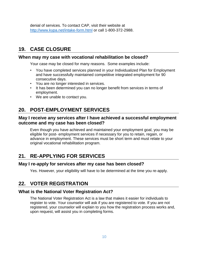denial of services. To contact CAP, visit their website at <http://www.kypa.net/intake-form.html> or call 1-800-372-2988.

## **19. CASE CLOSURE**

#### **When may my case with vocational rehabilitation be closed?**

Your case may be closed for many reasons. Some examples include:

- You have completed services planned in your Individualized Plan for Employment and have successfully maintained competitive integrated employment for 90 consecutive days.
- You are no longer interested in services.
- It has been determined you can no longer benefit from services in terms of employment.
- We are unable to contact you.

## <span id="page-9-0"></span>**20. POST-EMPLOYMENT SERVICES**

#### **May I receive any services after I have achieved a successful employment outcome and my case has been closed?**

Even though you have achieved and maintained your employment goal, you may be eligible for post- employment services if necessary for you to retain, regain, or advance in employment. These services must be short term and must relate to your original vocational rehabilitation program.

## <span id="page-9-1"></span>**21. RE-APPLYING FOR SERVICES**

#### **May I re-apply for services after my case has been closed?**

Yes. However, your eligibility will have to be determined at the time you re-apply.

## <span id="page-9-2"></span>**22. VOTER REGISTRATION**

#### **What is the National Voter Registration Act?**

The National Voter Registration Act is a law that makes it easier for individuals to register to vote. Your counselor will ask if you are registered to vote. If you are not registered, your counselor will explain to you how the registration process works and, upon request, will assist you in completing forms.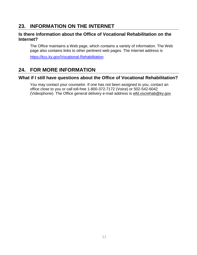## <span id="page-10-0"></span>**23. INFORMATION ON THE INTERNET**

#### **Is there information about the Office of Vocational Rehabilitation on the Internet?**

The Office maintains a Web page, which contains a variety of information. The Web page also contains links to other pertinent web pages. The Internet address is

<https://kcc.ky.gov/Vocational-Rehabilitation>

## <span id="page-10-1"></span>**24. FOR MORE INFORMATION**

#### **What if I still have questions about the Office of Vocational Rehabilitation?**

You may contact your counselor. If one has not been assigned to you, contact an office close to you or call toll-free 1-800-372-7172 (Voice) or 502-542-6042 (Videophone). The Office general delivery e-mail address is [wfd.vocrehab@ky.gov](mailto:wfd.vocrehab@ky.gov)